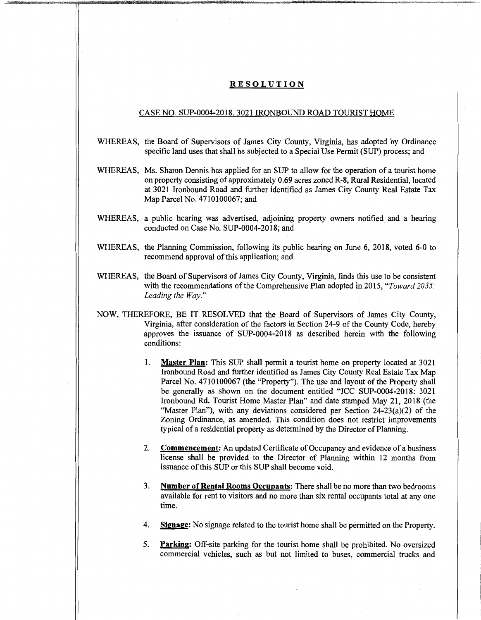## **RESOLUTION**

~------"""I'!'-------------------------------------·~~--·

## CASE NO. SUP-0004-2018. 3021 IRONBOUND ROAD TOURIST HOME

- WHEREAS, the Board of Supervisors of James City County, Virginia, has adopted by Ordinance specific land uses that shall be subjected to a Special Use Permit (SUP) process; and
- WHEREAS, Ms. Sharon Dennis has applied for an SUP to allow for the operation of a tourist home on property consisting of approximately 0.69 acres zoned **R-8,** Rural Residential, located at 3021 Ironbound Road and further identified as James City County Real Estate Tax Map Parcel No. 4710100067; and
- WHEREAS, a public hearing was advertised, adjoining property owners notified and a hearing conducted on Case No. SUP-0004-2018; and
- WHEREAS, the Planning Commission, following its public hearing on June 6, 2018, voted 6-0 to recommend approval of this application; and
- WHEREAS, the Board of Supervisors of James City County, Virginia, finds this use to be consistent with the recommendations of the Comprehensive Plan adopted in 2015, *"Toward 2035: Leading the Way."*
- NOW, THEREFORE, BE IT RESOLVED that the Board of Supervisors of James City County, Virginia, after consideration of the factors in Section 24-9 of the County Code, hereby approves the issuance of SUP-0004-2018 as described herein with the following conditions:
	- 1. **Master Plan:** This SUP shall permit a tourist home on property located at 3021 Ironbound Road and further identified as James City County Real Estate Tax Map Parcel No. 4710100067 (the "Property"). The use and layout of the Property shall be generally as shown on the document entitled "JCC SUP-0004-2018: 3021 Ironbound Rd. Tourist Home Master Plan" and date stamped May 21, 2018 (the "Master Plan"), with any deviations considered per Section  $24-23(a)(2)$  of the Zoning Ordinance, as amended. This condition does not restrict improvements typical of a residential property as determined by the Director of Planning.
	- 2. **Commencement:** An updated Certificate of Occupancy and evidence of a business license shall be provided to the Director of Planning within 12 months from issuance of this SUP or this SUP shall become void.
	- 3. **Number of Rental Rooms Occupants:** There shall be no more than two bedrooms available for rent to visitors and no more than six rental occupants total at any one time.
	- 4. **Signage:** No signage related to the tourist home shall be permitted on the Property.
	- 5. **Parking:** Off-site parking for the tourist home shall be prohibited. No oversized commercial vehicles, such as but not limited to buses, commercial trucks and